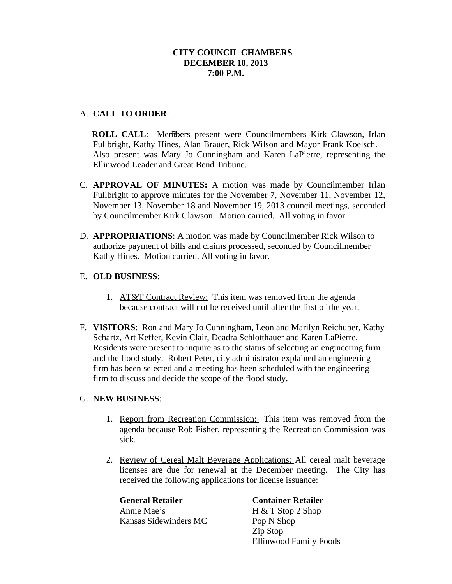### **CITY COUNCIL CHAMBERS DECEMBER 10, 2013 7:00 P.M.**

## A. **CALL TO ORDER**:

**ROLL CALL:** Members present were Councilmembers Kirk Clawson, Irlan Fullbright, Kathy Hines, Alan Brauer, Rick Wilson and Mayor Frank Koelsch. Also present was Mary Jo Cunningham and Karen LaPierre, representing the Ellinwood Leader and Great Bend Tribune.

- C. **APPROVAL OF MINUTES:** A motion was made by Councilmember Irlan Fullbright to approve minutes for the November 7, November 11, November 12, November 13, November 18 and November 19, 2013 council meetings, seconded by Councilmember Kirk Clawson. Motion carried. All voting in favor.
- D. **APPROPRIATIONS**: A motion was made by Councilmember Rick Wilson to authorize payment of bills and claims processed, seconded by Councilmember Kathy Hines. Motion carried. All voting in favor.

#### E. **OLD BUSINESS:**

- 1. AT&T Contract Review: This item was removed from the agenda because contract will not be received until after the first of the year.
- F. **VISITORS**: Ron and Mary Jo Cunningham, Leon and Marilyn Reichuber, Kathy Schartz, Art Keffer, Kevin Clair, Deadra Schlotthauer and Karen LaPierre. Residents were present to inquire as to the status of selecting an engineering firm and the flood study. Robert Peter, city administrator explained an engineering firm has been selected and a meeting has been scheduled with the engineering firm to discuss and decide the scope of the flood study.

#### G. **NEW BUSINESS**:

- 1. Report from Recreation Commission: This item was removed from the agenda because Rob Fisher, representing the Recreation Commission was sick.
- 2. Review of Cereal Malt Beverage Applications: All cereal malt beverage licenses are due for renewal at the December meeting. The City has received the following applications for license issuance:

**General Retailer Container Retailer** Annie Mae's H & T Stop 2 Shop Kansas Sidewinders MC Pop N Shop

Zip Stop Ellinwood Family Foods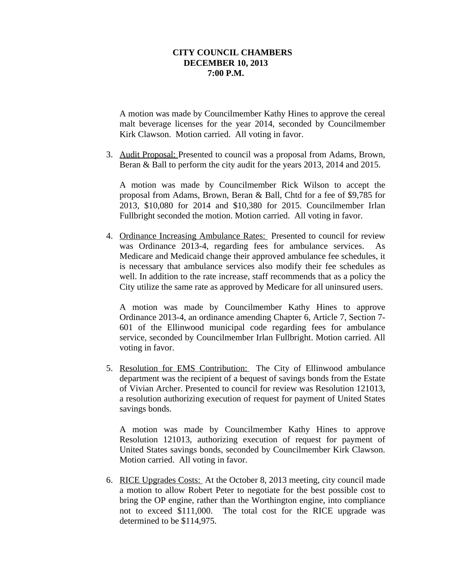#### **CITY COUNCIL CHAMBERS DECEMBER 10, 2013 7:00 P.M.**

A motion was made by Councilmember Kathy Hines to approve the cereal malt beverage licenses for the year 2014, seconded by Councilmember Kirk Clawson. Motion carried. All voting in favor.

3. Audit Proposal: Presented to council was a proposal from Adams, Brown, Beran & Ball to perform the city audit for the years 2013, 2014 and 2015.

A motion was made by Councilmember Rick Wilson to accept the proposal from Adams, Brown, Beran & Ball, Chtd for a fee of \$9,785 for 2013, \$10,080 for 2014 and \$10,380 for 2015. Councilmember Irlan Fullbright seconded the motion. Motion carried. All voting in favor.

4. Ordinance Increasing Ambulance Rates: Presented to council for review was Ordinance 2013-4, regarding fees for ambulance services. As Medicare and Medicaid change their approved ambulance fee schedules, it is necessary that ambulance services also modify their fee schedules as well. In addition to the rate increase, staff recommends that as a policy the City utilize the same rate as approved by Medicare for all uninsured users.

A motion was made by Councilmember Kathy Hines to approve Ordinance 2013-4, an ordinance amending Chapter 6, Article 7, Section 7- 601 of the Ellinwood municipal code regarding fees for ambulance service, seconded by Councilmember Irlan Fullbright. Motion carried. All voting in favor.

5. Resolution for EMS Contribution: The City of Ellinwood ambulance department was the recipient of a bequest of savings bonds from the Estate of Vivian Archer. Presented to council for review was Resolution 121013, a resolution authorizing execution of request for payment of United States savings bonds.

A motion was made by Councilmember Kathy Hines to approve Resolution 121013, authorizing execution of request for payment of United States savings bonds, seconded by Councilmember Kirk Clawson. Motion carried. All voting in favor.

6. RICE Upgrades Costs: At the October 8, 2013 meeting, city council made a motion to allow Robert Peter to negotiate for the best possible cost to bring the OP engine, rather than the Worthington engine, into compliance not to exceed \$111,000. The total cost for the RICE upgrade was determined to be \$114,975.